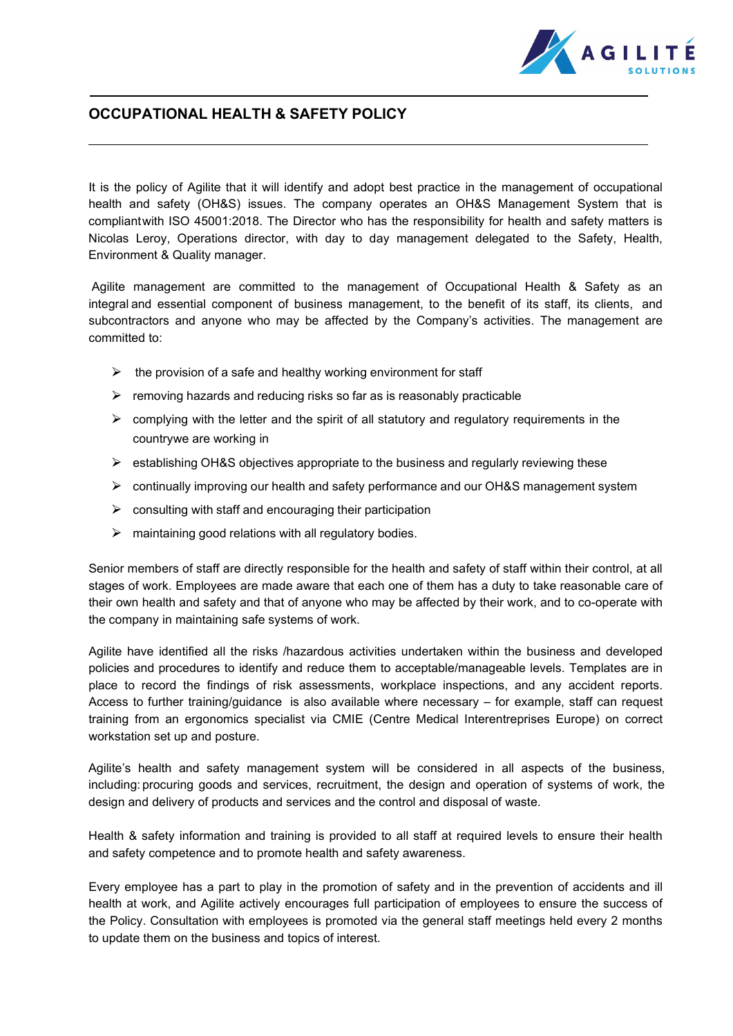

## **OCCUPATIONAL HEALTH & SAFETY POLICY**

It is the policy of Agilite that it will identify and adopt best practice in the management of occupational health and safety (OH&S) issues. The company operates an OH&S Management System that is compliantwith ISO 45001:2018. The Director who has the responsibility for health and safety matters is Nicolas Leroy, Operations director, with day to day management delegated to the Safety, Health, Environment & Quality manager.

Agilite management are committed to the management of Occupational Health & Safety as an integral and essential component of business management, to the benefit of its staff, its clients, and subcontractors and anyone who may be affected by the Company's activities. The management are committed to:

- $\triangleright$  the provision of a safe and healthy working environment for staff
- $\triangleright$  removing hazards and reducing risks so far as is reasonably practicable
- $\triangleright$  complying with the letter and the spirit of all statutory and regulatory requirements in the countrywe are working in
- ▶ establishing OH&S objectives appropriate to the business and regularly reviewing these
- $\triangleright$  continually improving our health and safety performance and our OH&S management system
- $\triangleright$  consulting with staff and encouraging their participation
- $\triangleright$  maintaining good relations with all regulatory bodies.

Senior members of staff are directly responsible for the health and safety of staff within their control, at all stages of work. Employees are made aware that each one of them has a duty to take reasonable care of their own health and safety and that of anyone who may be affected by their work, and to co-operate with the company in maintaining safe systems of work.

Agilite have identified all the risks /hazardous activities undertaken within the business and developed policies and procedures to identify and reduce them to acceptable/manageable levels. Templates are in place to record the findings of risk assessments, workplace inspections, and any accident reports. Access to further training/guidance is also available where necessary – for example, staff can request training from an ergonomics specialist via CMIE (Centre Medical Interentreprises Europe) on correct workstation set up and posture.

Agilite's health and safety management system will be considered in all aspects of the business, including: procuring goods and services, recruitment, the design and operation of systems of work, the design and delivery of products and services and the control and disposal of waste.

Health & safety information and training is provided to all staff at required levels to ensure their health and safety competence and to promote health and safety awareness.

Every employee has a part to play in the promotion of safety and in the prevention of accidents and ill health at work, and Agilite actively encourages full participation of employees to ensure the success of the Policy. Consultation with employees is promoted via the general staff meetings held every 2 months to update them on the business and topics of interest.